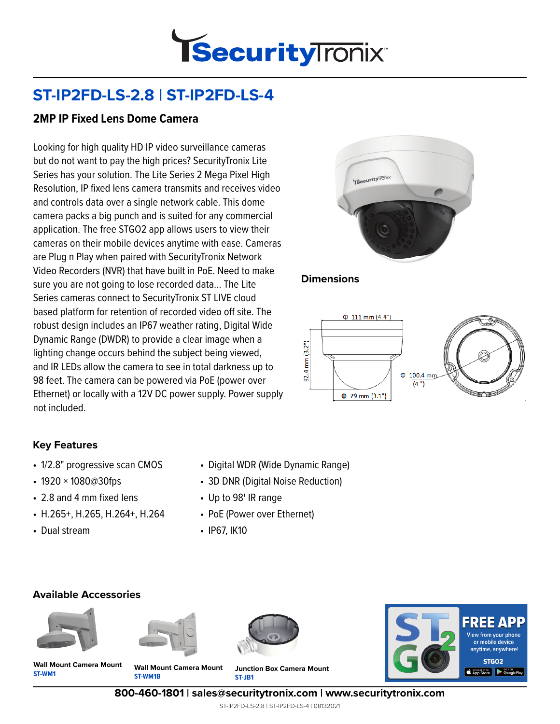

# **ST-IP2FD-LS-2.8 | ST-IP2FD-LS-4**

### **2MP IP Fixed Lens Dome Camera**

Looking for high quality HD IP video surveillance cameras but do not want to pay the high prices? SecurityTronix Lite Series has your solution. The Lite Series 2 Mega Pixel High Resolution, IP fixed lens camera transmits and receives video and controls data over a single network cable. This dome camera packs a big punch and is suited for any commercial application. The free STGO2 app allows users to view their cameras on their mobile devices anytime with ease. Cameras are Plug n Play when paired with SecurityTronix Network Video Recorders (NVR) that have built in PoE. Need to make sure you are not going to lose recorded data… The Lite Series cameras connect to SecurityTronix ST LIVE cloud based platform for retention of recorded video off site. The robust design includes an IP67 weather rating, Digital Wide Dynamic Range (DWDR) to provide a clear image when a lighting change occurs behind the subject being viewed, and IR LEDs allow the camera to see in total darkness up to 98 feet. The camera can be powered via PoE (power over Ethernet) or locally with a 12V DC power supply. Power supply not included.



#### **Dimensions**



#### **Key Features**

- 1/2.8" progressive scan CMOS
- 1920 × 1080@30fps
- 2.8 and 4 mm fixed lens
- H.265+, H.265, H.264+, H.264
- Dual stream
- Digital WDR (Wide Dynamic Range)
- 3D DNR (Digital Noise Reduction)
- Up to 98**'** IR range
- PoE (Power over Ethernet)
- IP67, IK10

#### **Available Accessories**









**ST-WM1 Wall Mount Camera Mount**

**ST-WM1B Wall Mount Camera Mount**

**ST-JB1 Junction Box Camera Mount**

**800-460-1801 | sales@securitytronix.com | www.securitytronix.com**

ST-IP2FD-LS-2.8 | ST-IP2FD-LS-4 | 08132021